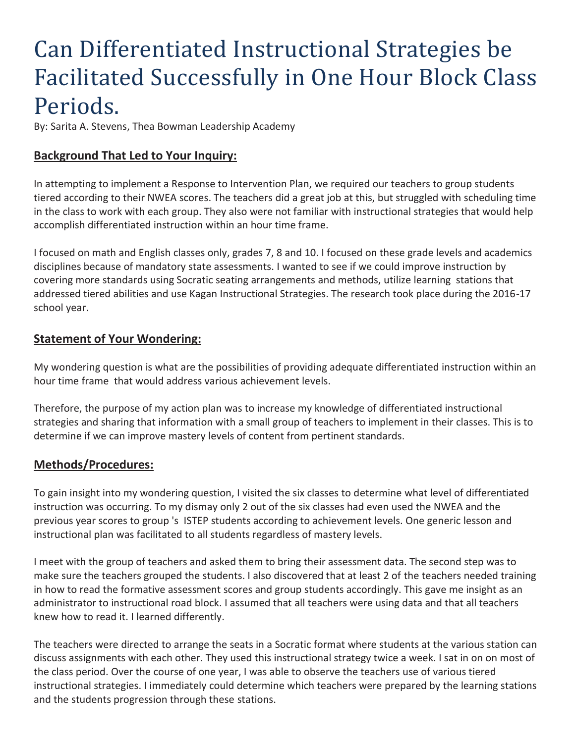# Can Differentiated Instructional Strategies be Facilitated Successfully in One Hour Block Class Periods.

By: Sarita A. Stevens, Thea Bowman Leadership Academy

## **Background That Led to Your Inquiry:**

In attempting to implement a Response to Intervention Plan, we required our teachers to group students tiered according to their NWEA scores. The teachers did a great job at this, but struggled with scheduling time in the class to work with each group. They also were not familiar with instructional strategies that would help accomplish differentiated instruction within an hour time frame.

I focused on math and English classes only, grades 7, 8 and 10. I focused on these grade levels and academics disciplines because of mandatory state assessments. I wanted to see if we could improve instruction by covering more standards using Socratic seating arrangements and methods, utilize learning stations that addressed tiered abilities and use Kagan Instructional Strategies. The research took place during the 2016-17 school year.

#### **Statement of Your Wondering:**

My wondering question is what are the possibilities of providing adequate differentiated instruction within an hour time frame that would address various achievement levels.

Therefore, the purpose of my action plan was to increase my knowledge of differentiated instructional strategies and sharing that information with a small group of teachers to implement in their classes. This is to determine if we can improve mastery levels of content from pertinent standards.

## **Methods/Procedures:**

To gain insight into my wondering question, I visited the six classes to determine what level of differentiated instruction was occurring. To my dismay only 2 out of the six classes had even used the NWEA and the previous year scores to group 's ISTEP students according to achievement levels. One generic lesson and instructional plan was facilitated to all students regardless of mastery levels.

I meet with the group of teachers and asked them to bring their assessment data. The second step was to make sure the teachers grouped the students. I also discovered that at least 2 of the teachers needed training in how to read the formative assessment scores and group students accordingly. This gave me insight as an administrator to instructional road block. I assumed that all teachers were using data and that all teachers knew how to read it. I learned differently.

The teachers were directed to arrange the seats in a Socratic format where students at the various station can discuss assignments with each other. They used this instructional strategy twice a week. I sat in on on most of the class period. Over the course of one year, I was able to observe the teachers use of various tiered instructional strategies. I immediately could determine which teachers were prepared by the learning stations and the students progression through these stations.